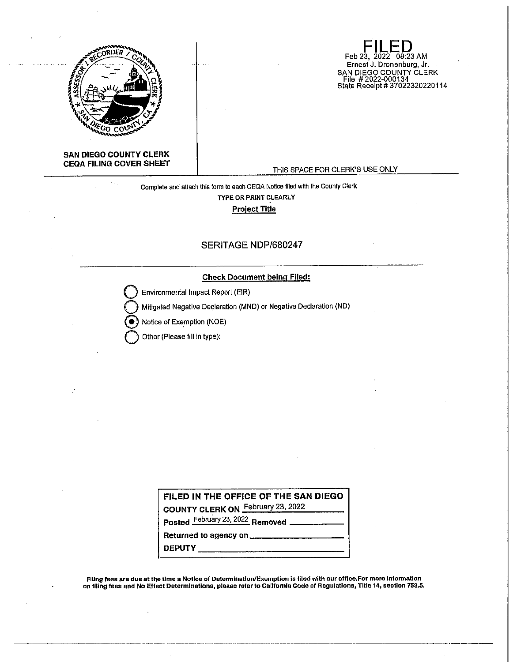

**Feb 23, 2022** 09:23 AM Ernest J. Dronenburg, Jr. SAN DIEGO COUNTY CLERK File # 2022-000134 State Receipt# 37022320220114

# **SAN DIEGO COUNTY CLERK CEQA FILING COVER SHEET**

### THIS SPACE FOR CLERK'S USE ONLY

# Complete and attach this form lo each CEQA Notice filed wl1h the County Clerk TYPE OR PRINT CLEARLY Project Title

# SERITAGE NDP/680247

# **Check Document being Filed:**

**Q** Environmental Impact Report (EIR)

**Q** Mitigated Negative Declaration (MND) or Negative Declaration (ND)

Notice of Exemption (NOE)

**Q** Other (Please fill in type):

| FILED IN THE OFFICE OF THE SAN DIEGO          |  |
|-----------------------------------------------|--|
| COUNTY CLERK ON February 23, 2022             |  |
| Posted February 23, 2022 Removed ____________ |  |
|                                               |  |
| DEPUTY ___________                            |  |

Filing fees are due at the time a Notice of Determination/Exemption is filed with our office.For more Information on filing fees and No Effect Determinations, please refer to California Code of Regulations, Title 14, section 753.5,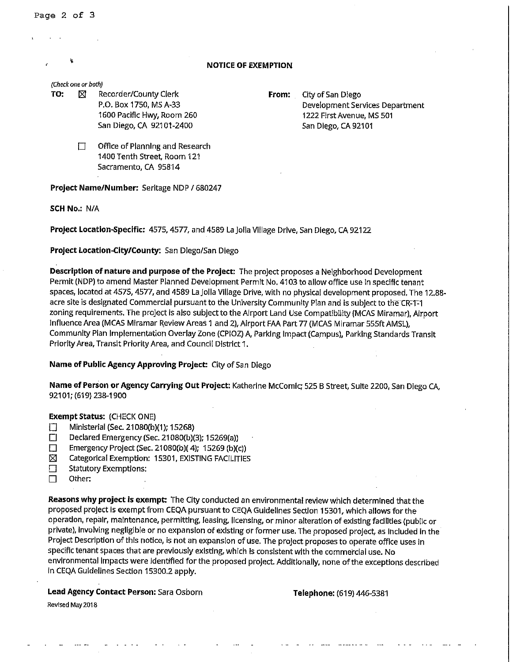Page 2 of 3

# **NOTICE OF EXEMPTION**

#### *(Check one or both)*

- **TO:**  $\boxtimes$  Recorder/County Clerk **From:** City of San Diego P.O. Box 1750, MS A-33 1600 Pacific Hwy, Room 260 San Diego, CA 92101-2400
- Development Services Department 1222 First Avenue, MS 501 San Diego, CA 92101
	- $\Box$  Office of Planning and Research 1400Tenth Street, Room 121 Sacramento, CA 95814

**Project Name/Number:** Serltage NDP / 680247

**SCH No.:** NIA

**Project Location-Specific:** 4575, 4577, and 4589 La Jolla VIiiage Drive, San Diego, CA 92122

# **Project Location-City/County:** San Diego/San Diego

**Description of nature and purpose of the Project:** The project proposes a Neighborhood Development Permit (NDP) to amend Master Planned Development Permit No. 4103 to allow office use In specific tenant spaces, located at 4575, 4577, and 4589 La Jolla Village Drive, with no physical development proposed, The 12.88 acre site is designated Commercial pursuant to the University Community Plan and is subject to the CR-1-1 zoning requirements. The project is also subject to the Airport Land Use Compatibility (MCAS Miramar), Airport Influence Area (MCAS Miramar Review Areas 1 and 2), Airport FAA Part 77 (MCAS Miramar 555ft AMSL), Community Plan Implementation Overlay Zone (CPIOZ) A, Parking Impact (Campus), Parking Standards Transit Priority Area, Transit Priority Area, and Council District 1.

## **Name of Public Agency Approving Project:** City of San Diego

**Name of Person or Agency Carrying Out Project:** Katherine McComic; 525 B Street, Suite 2200, San Diego CA, 92101; (619) 238-1900

### **Exempt Status:** (CHECK ONE)

- D Ministerial (Sec. 21080(b)(1); 15268)<br>Declared Emergency (Sec. 21080(b)(
- D Declared Emergency (Sec. 21080(b)(3); 15269(a))
- Emergency Project (Sec. 21080(b)(4); 15269 (b)(c))
- $\boxtimes$  Categorical Exemption: 15301, EXISTING FACILITIES
- $\Box$  Statutory Exemptions:
- □ Other:

**Reasons why project Is exempt:** The City conducted an environmental review which determined that the proposed project is exempt from CEQA pursuant to CEQA Guidelines Section 15301, which allows for the operation, repair, maintenance, permitting, leasing, licensing, or minor alteration of existing facllltles (public or private), Involving negligible or no expansion of existing or former use, The proposed project, as Included In the Project Description of this notice, is not an expansion of use. The project proposes to operate office uses In specific tenant spaces that are previously existing, which is consistent with the commercial use. No environ mental Impacts were identified for the proposed project. Additionally, none of the exceptions described In CEQA Guidelines Section 15300.2 apply.

**Lead Agency Contact Person:** Sara Osborn

**Telephone:** (619) 446-5381

**Revised May 2018**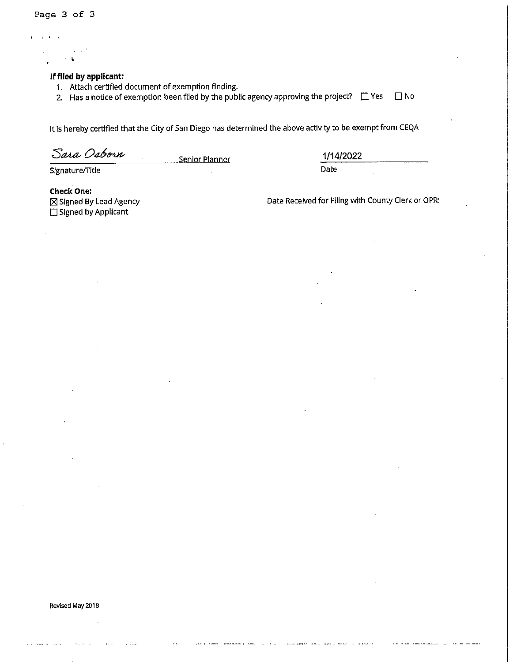Page 3 of 3

# **If flied by applicant:**

1. Attach certified document of exemption finding.

2. Has a notice of exemption been filed by the public agency approving the project?  $\Box$  Yes  $\Box$  No

It Is hereby certified that the City of San Diego has determined the above activity to be exempt from CEQA

Sara Osborn

Senior Planner **1/14/2022** 

Date

Signature/Title

**Check One:**   $\boxtimes$  Signed By Lead Agency □ Signed by Applicant

Date Received for Filing with County Clerk or OPR: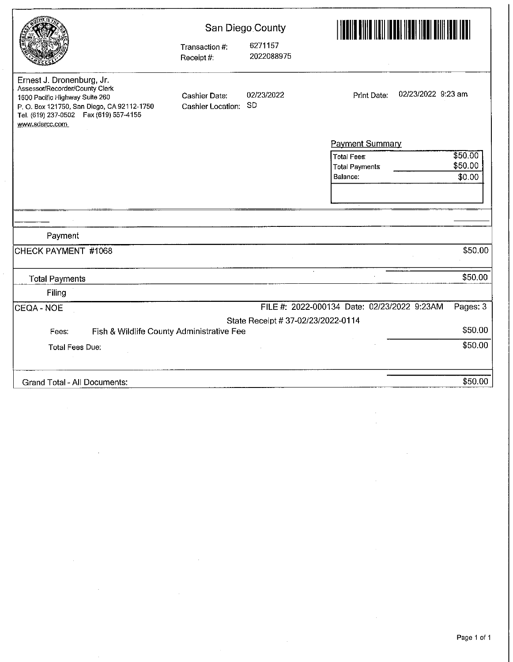|                                                                                                                                                                                                            | Transaction #:<br>Receipt #:       | San Diego County<br>6271157<br>2022088975 | LANDIN KANLANDIN DI BILI DI BILI DI BILI DI BILI DI BILI DI BILI DI BILI DI BILI DI BILI DI BILI DI BILI DI BI<br>LI DI BILI DI BILI DI BILI DI BILI DI BILI DI BILI DI BILI DI BILI DI BILI DI BILI DI BILI DI BILI DI BILI DI |
|------------------------------------------------------------------------------------------------------------------------------------------------------------------------------------------------------------|------------------------------------|-------------------------------------------|---------------------------------------------------------------------------------------------------------------------------------------------------------------------------------------------------------------------------------|
| Ernest J. Dronenburg, Jr.<br>Assessor/Recorder/County Clerk<br>1600 Pacific Highway Suite 260<br>P. O. Box 121750, San Diego, CA 92112-1750<br>Tel. (619) 237-0502    Fax (619) 557-4155<br>www.sdarcc.com | Cashier Date:<br>Cashier Location: | 02/23/2022<br><b>SD</b>                   | 02/23/2022 9:23 am<br>Print Date:                                                                                                                                                                                               |
|                                                                                                                                                                                                            |                                    |                                           | <b>Payment Summary</b>                                                                                                                                                                                                          |
|                                                                                                                                                                                                            |                                    |                                           | \$50.00<br><b>Total Fees:</b>                                                                                                                                                                                                   |
|                                                                                                                                                                                                            |                                    |                                           | \$50.00<br><b>Total Payments</b>                                                                                                                                                                                                |
|                                                                                                                                                                                                            |                                    |                                           | \$0.00<br>Balance:                                                                                                                                                                                                              |
|                                                                                                                                                                                                            |                                    |                                           |                                                                                                                                                                                                                                 |
|                                                                                                                                                                                                            |                                    |                                           |                                                                                                                                                                                                                                 |
|                                                                                                                                                                                                            |                                    |                                           |                                                                                                                                                                                                                                 |
|                                                                                                                                                                                                            |                                    |                                           |                                                                                                                                                                                                                                 |
| Payment                                                                                                                                                                                                    |                                    |                                           |                                                                                                                                                                                                                                 |
| CHECK PAYMENT #1068                                                                                                                                                                                        |                                    |                                           | \$50.00                                                                                                                                                                                                                         |
| <b>Total Payments</b>                                                                                                                                                                                      |                                    |                                           | \$50.00                                                                                                                                                                                                                         |
| Filing                                                                                                                                                                                                     |                                    |                                           |                                                                                                                                                                                                                                 |
| CEQA - NOE                                                                                                                                                                                                 |                                    |                                           | FILE #: 2022-000134 Date: 02/23/2022 9:23AM<br>Pages: 3                                                                                                                                                                         |
|                                                                                                                                                                                                            |                                    | State Receipt # 37-02/23/2022-0114        |                                                                                                                                                                                                                                 |
| Fish & Wildlife County Administrative Fee<br>Fees:                                                                                                                                                         |                                    |                                           | \$50.00                                                                                                                                                                                                                         |
| <b>Total Fees Due:</b>                                                                                                                                                                                     |                                    |                                           | \$50.00                                                                                                                                                                                                                         |
|                                                                                                                                                                                                            |                                    |                                           |                                                                                                                                                                                                                                 |
| Grand Total - All Documents:                                                                                                                                                                               |                                    |                                           | \$50.00                                                                                                                                                                                                                         |

 $\cdot$